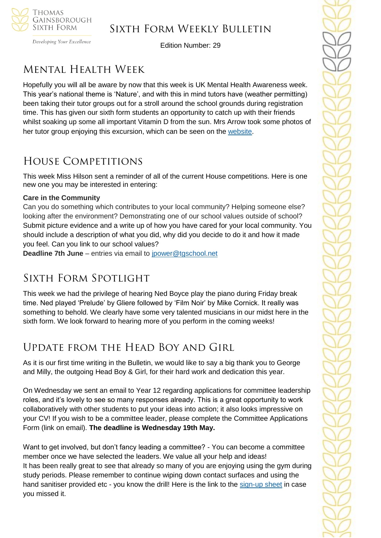

Developing Your Excellence

Edition Number: 29

# Mental Health Week

Hopefully you will all be aware by now that this week is UK Mental Health Awareness week. This year's national theme is 'Nature', and with this in mind tutors have (weather permitting) been taking their tutor groups out for a stroll around the school grounds during registration time. This has given our sixth form students an opportunity to catch up with their friends whilst soaking up some all important Vitamin D from the sun. Mrs Arrow took some photos of her tutor group enjoying this excursion, which can be seen on the [website.](https://tgschool.net/news/getting-back-to-nature-for-mental-health-awareness-week)

# House Competitions

This week Miss Hilson sent a reminder of all of the current House competitions. Here is one new one you may be interested in entering:

### **Care in the Community**

Can you do something which contributes to your local community? Helping someone else? looking after the environment? Demonstrating one of our school values outside of school? Submit picture evidence and a write up of how you have cared for your local community. You should include a description of what you did, why did you decide to do it and how it made you feel. Can you link to our school values?

**Deadline 7th June** – entries via email to [jpower@tgschool.net](mailto:jpower@tgschool.net)

# SIXTH FORM SPOTLIGHT

This week we had the privilege of hearing Ned Boyce play the piano during Friday break time. Ned played 'Prelude' by Gliere followed by 'Film Noir' by Mike Cornick. It really was something to behold. We clearly have some very talented musicians in our midst here in the sixth form. We look forward to hearing more of you perform in the coming weeks!

# Update from the Head Boy and Girl

As it is our first time writing in the Bulletin, we would like to say a big thank you to George and Milly, the outgoing Head Boy & Girl, for their hard work and dedication this year.

On Wednesday we sent an email to Year 12 regarding applications for committee leadership roles, and it's lovely to see so many responses already. This is a great opportunity to work collaboratively with other students to put your ideas into action; it also looks impressive on your CV! If you wish to be a committee leader, please complete the Committee Applications Form (link on email). **The deadline is Wednesday 19th May.**

Want to get involved, but don't fancy leading a committee? - You can become a committee member once we have selected the leaders. We value all your help and ideas! It has been really great to see that already so many of you are enjoying using the gym during study periods. Please remember to continue wiping down contact surfaces and using the hand sanitiser provided etc - you know the drill! Here is the link to the [sign-up sheet](https://docs.google.com/spreadsheets/d/1b9ckd1zLjycOq2LHzIn5gYeuTNrGXS2etRSmflQ7PUw/edit#gid=0) in case you missed it.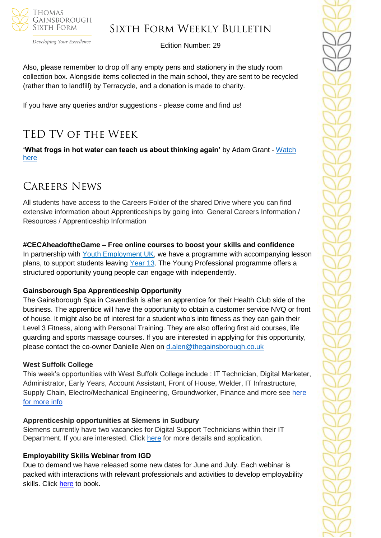

#### Developing Your Excellence

### Sixth Form Weekly Bulletin

Edition Number: 29

Also, please remember to drop off any empty pens and stationery in the study room collection box. Alongside items collected in the main school, they are sent to be recycled (rather than to landfill) by Terracycle, and a donation is made to charity.

If you have any queries and/or suggestions - please come and find us!

# TED TV of the Week

**'What frogs in hot water can teach us about thinking again'** by Adam Grant - [Watch](https://www.ted.com/talks/adam_grant_what_frogs_in_hot_water_can_teach_us_about_thinking_again#t-70533)  [here](https://www.ted.com/talks/adam_grant_what_frogs_in_hot_water_can_teach_us_about_thinking_again#t-70533)

### Careers News

All students have access to the Careers Folder of the shared Drive where you can find extensive information about Apprenticeships by going into: General Careers Information / Resources / Apprenticeship Information

#### **#CECAheadoftheGame – Free online courses to boost your skills and confidence**

In partnership with [Youth Employment UK,](https://careersandenterprise.us12.list-manage.com/track/click?u=5edc7f4f08ea35cadfe6465b7&id=fb05cd8eb7&e=41e5dcf8b3) we have a programme with accompanying lesson plans, to support students leaving [Year 13.](https://careersandenterprise.us12.list-manage.com/track/click?u=5edc7f4f08ea35cadfe6465b7&id=4feedb7a15&e=41e5dcf8b3) The Young Professional programme offers a structured opportunity young people can engage with independently.

#### **Gainsborough Spa Apprenticeship Opportunity**

The Gainsborough Spa in Cavendish is after an apprentice for their Health Club side of the business. The apprentice will have the opportunity to obtain a customer service NVQ or front of house. It might also be of interest for a student who's into fitness as they can gain their Level 3 Fitness, along with Personal Training. They are also offering first aid courses, life guarding and sports massage courses. If you are interested in applying for this opportunity, please contact the co-owner Danielle Alen on [d.alen@thegainsborough.co.uk](mailto:d.alen@thegainsborough.co.uk)

#### **West Suffolk College**

This week's opportunities with West Suffolk College include : IT Technician, Digital Marketer, Administrator, Early Years, Account Assistant, Front of House, Welder, IT Infrastructure, Supply Chain, Electro/Mechanical Engineering, Groundworker, Finance and more see [here](https://apprenticeships.wsc.ac.uk/)  [for more info](https://apprenticeships.wsc.ac.uk/)

#### **Apprenticeship opportunities at Siemens in Sudbury**

Siemens currently have two vacancies for Digital Support Technicians within their IT Department. If you are interested. Click [here](https://jobs.siemens.com/healthineers/jobs/251846) for more details and application.

#### **Employability Skills Webinar from IGD**

Due to demand we have released some new dates for June and July. Each webinar is packed with interactions with relevant professionals and activities to develop employability skills. Click [here](https://docs.google.com/forms/d/e/1FAIpQLSeHZjfNmdw8B_aoJBUAW3XLXuON2OvAWnE5osW4sg1ENgBQqQ/viewform?gxids=7628) to book.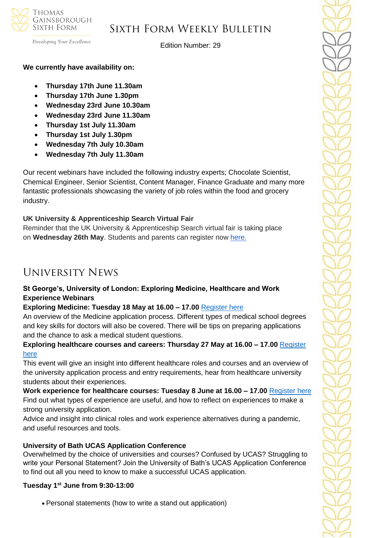

Developing Your Excellence

Edition Number: 29

### **We currently have availability on:**

- **Thursday 17th June 11.30am**
- **Thursday 17th June 1.30pm**
- **Wednesday 23rd June 10.30am**
- **Wednesday 23rd June 11.30am**
- **Thursday 1st July 11.30am**
- **Thursday 1st July 1.30pm**
- **Wednesday 7th July 10.30am**
- **Wednesday 7th July 11.30am**

Our recent webinars have included the following industry experts; Chocolate Scientist, Chemical Engineer, Senior Scientist, Content Manager, Finance Graduate and many more fantastic professionals showcasing the variety of job roles within the food and grocery industry.

### **UK University & Apprenticeship Search Virtual Fair**

Reminder that the UK University & Apprenticeship Search virtual fair is taking place on **Wednesday 26th May**. Students and parents can register now [here.](https://ukunisearchsouth.vfairs.com/)

## University News

### **St George's, University of London: Exploring Medicine, Healthcare and Work Experience Webinars**

#### **Exploring Medicine: Tuesday 18 May at 16.00 – 17.00** [Register here](https://register.gotowebinar.com/register/9013034777306904076?source=CAT+D)

An overview of the Medicine application process. Different types of medical school degrees and key skills for doctors will also be covered. There will be tips on preparing applications and the chance to ask a medical student questions.

### **Exploring healthcare courses and careers: Thursday 27 May at 16.00 – 17.00** [Register](https://register.gotowebinar.com/register/8978954314892623628?source=Cat+D)  [here](https://register.gotowebinar.com/register/8978954314892623628?source=Cat+D)

This event will give an insight into different healthcare roles and courses and an overview of the university application process and entry requirements, hear from healthcare university students about their experiences.

**Work experience for healthcare courses: Tuesday 8 June at 16.00 – 17.00** [Register here](https://register.gotowebinar.com/register/6523400702929337868?source=CAT+D) Find out what types of experience are useful, and how to reflect on experiences to make a strong university application.

Advice and insight into clinical roles and work experience alternatives during a pandemic, and useful resources and tools.

#### **University of Bath UCAS Application Conference**

Overwhelmed by the choice of universities and courses? Confused by UCAS? Struggling to write your Personal Statement? Join the University of Bath's UCAS Application Conference to find out all you need to know to make a successful UCAS application.

#### **Tuesday 1st June from 9:30-13:00**

• Personal statements (how to write a stand out application)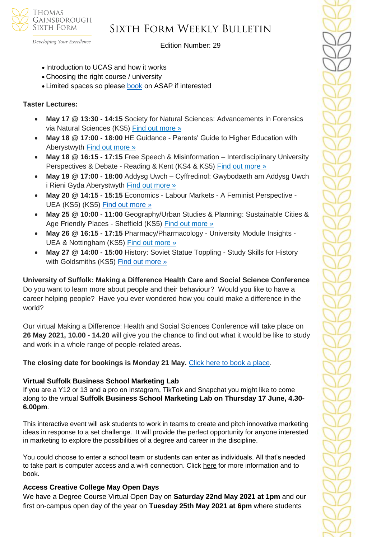

Developing Your Excellence

Edition Number: 29

- Introduction to UCAS and how it works
- Choosing the right course / university
- Limited spaces so please [book](https://www.surveymonkey.com/r/Universtiy-of-Bath) on ASAP if interested

### **Taster Lectures:**

- **May 17 @ 13:30 - 14:15** Society for Natural Sciences: Advancements in Forensics via Natural Sciences (KS5) [Find out more »](https://channeltalent.us10.list-manage.com/track/click?u=145837fa6843e0c349598322a&id=2064040fbb&e=155232616c)
- **May 18 @ 17:00 - 18:00** HE Guidance Parents' Guide to Higher Education with Aberystwyth [Find out more »](https://channeltalent.us10.list-manage.com/track/click?u=145837fa6843e0c349598322a&id=186c7da1b0&e=155232616c)
- **May 18 @ 16:15 - 17:15** Free Speech & Misinformation Interdisciplinary University Perspectives & Debate - Reading & Kent (KS4 & KS5) [Find out more »](https://channeltalent.us10.list-manage.com/track/click?u=145837fa6843e0c349598322a&id=008da9db26&e=155232616c)
- **May 19 @ 17:00 - 18:00** Addysg Uwch Cyffredinol: Gwybodaeth am Addysg Uwch i Rieni Gyda Aberystwyth [Find out more »](https://channeltalent.us10.list-manage.com/track/click?u=145837fa6843e0c349598322a&id=5918b5afae&e=155232616c)
- **May 20 @ 14:15 - 15:15** Economics Labour Markets A Feminist Perspective UEA (KS5) (KS5) [Find out more »](https://www.channeltalent.co.uk/event/economics-insight4me-economics-the-labour-market/)
- **May 25 @ 10:00 - 11:00** Geography/Urban Studies & Planning: Sustainable Cities & Age Friendly Places - Sheffield (KS5) [Find out more »](https://channeltalent.us10.list-manage.com/track/click?u=145837fa6843e0c349598322a&id=96ba16c4ae&e=155232616c)
- **May 26 @ 16:15 - 17:15** Pharmacy/Pharmacology University Module Insights UEA & Nottingham (KS5) [Find out more »](https://channeltalent.us10.list-manage.com/track/click?u=145837fa6843e0c349598322a&id=ef55675efe&e=155232616c)
- **May 27 @ 14:00 - 15:00** History: Soviet Statue Toppling Study Skills for History with Goldsmiths (KS5) [Find out more »](https://www.channeltalent.co.uk/event/history-study-skills-for-history-with-professor-alexander-watson-lecturer-in-history-at-goldsmiths-university-of-london/)

#### **University of Suffolk: Making a Difference Health Care and Social Science Conference**

Do you want to learn more about people and their behaviour? Would you like to have a career helping people? Have you ever wondered how you could make a difference in the world?

Our virtual Making a Difference: Health and Social Sciences Conference will take place on **26 May 2021, 10.00 - 14.20** will give you the chance to find out what it would be like to study and work in a whole range of people-related areas.

### **The closing date for bookings is Monday 21 May.** [Click here to book a place.](https://www.uos.ac.uk/content/making-difference-health-and-social-sciences-conference)

#### **Virtual Suffolk Business School Marketing Lab**

If you are a Y12 or 13 and a pro on Instagram, TikTok and Snapchat you might like to come along to the virtual **Suffolk Business School Marketing Lab on Thursday 17 June, 4.30- 6.00pm**.

This interactive event will ask students to work in teams to create and pitch innovative marketing ideas in response to a set challenge. It will provide the perfect opportunity for anyone interested in marketing to explore the possibilities of a degree and career in the discipline.

You could choose to enter a school team or students can enter as individuals. All that's needed to take part is computer access and a wi-fi connection. Click [here](https://www.uos.ac.uk/content/marketing-lab) for more information and to book.

#### **Access Creative College May Open Days**

We have a Degree Course Virtual Open Day on **Saturday 22nd May 2021 at 1pm** and our first on-campus open day of the year on **Tuesday 25th May 2021 at 6pm** where students